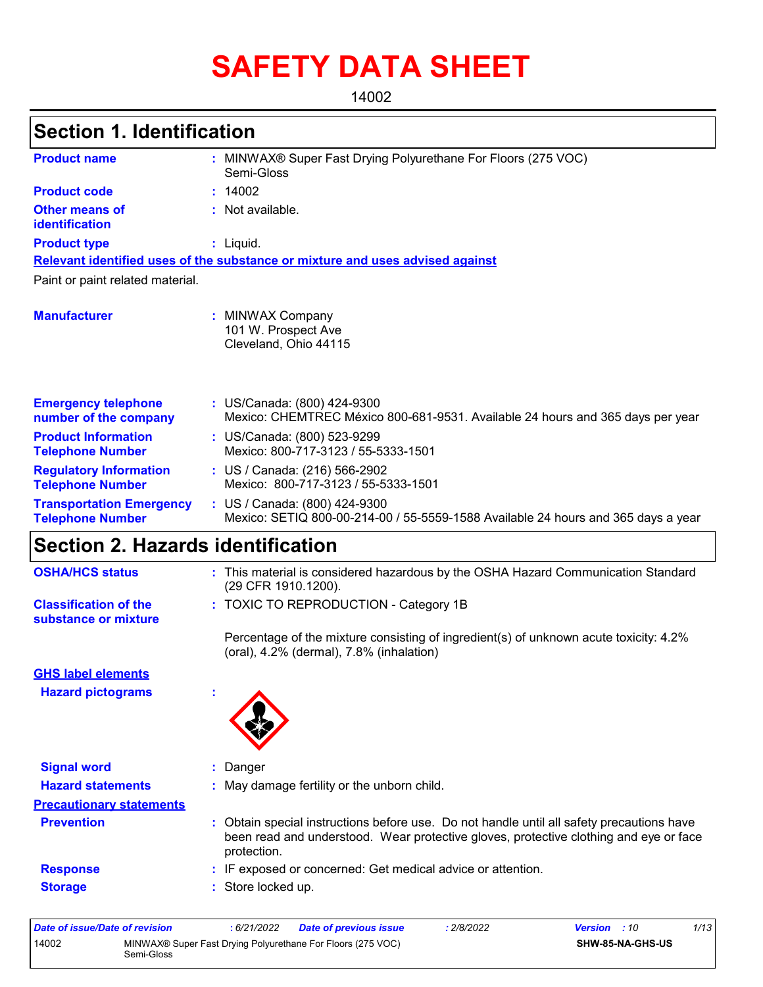# **SAFETY DATA SHEET**

14002

# **Section 1. Identification**

| <b>Product name</b>                                        | MINWAX® Super Fast Drying Polyurethane For Floors (275 VOC)<br>Semi-Gloss                                          |
|------------------------------------------------------------|--------------------------------------------------------------------------------------------------------------------|
| <b>Product code</b>                                        | : 14002                                                                                                            |
| <b>Other means of</b><br>identification                    | : Not available.                                                                                                   |
| <b>Product type</b>                                        | $:$ Liquid.                                                                                                        |
|                                                            | Relevant identified uses of the substance or mixture and uses advised against                                      |
| Paint or paint related material.                           |                                                                                                                    |
| <b>Manufacturer</b>                                        | : MINWAX Company<br>101 W. Prospect Ave<br>Cleveland, Ohio 44115                                                   |
| <b>Emergency telephone</b><br>number of the company        | : US/Canada: (800) 424-9300<br>Mexico: CHEMTREC México 800-681-9531. Available 24 hours and 365 days per year      |
| <b>Product Information</b><br><b>Telephone Number</b>      | : US/Canada: (800) 523-9299<br>Mexico: 800-717-3123 / 55-5333-1501                                                 |
| <b>Regulatory Information</b><br><b>Telephone Number</b>   | : US / Canada: (216) 566-2902<br>Mexico: 800-717-3123 / 55-5333-1501                                               |
| <b>Transportation Emergency</b><br><b>Telephone Number</b> | : US / Canada: (800) 424-9300<br>Mexico: SETIQ 800-00-214-00 / 55-5559-1588 Available 24 hours and 365 days a year |

# **Section 2. Hazards identification**

| <b>OSHA/HCS status</b>                               | : This material is considered hazardous by the OSHA Hazard Communication Standard<br>(29 CFR 1910.1200).                                                                                        |
|------------------------------------------------------|-------------------------------------------------------------------------------------------------------------------------------------------------------------------------------------------------|
| <b>Classification of the</b><br>substance or mixture | : TOXIC TO REPRODUCTION - Category 1B                                                                                                                                                           |
|                                                      | Percentage of the mixture consisting of ingredient(s) of unknown acute toxicity: 4.2%<br>(oral), 4.2% (dermal), 7.8% (inhalation)                                                               |
| <b>GHS label elements</b>                            |                                                                                                                                                                                                 |
| <b>Hazard pictograms</b>                             | ٠                                                                                                                                                                                               |
| <b>Signal word</b>                                   | : Danger                                                                                                                                                                                        |
|                                                      |                                                                                                                                                                                                 |
| <b>Hazard statements</b>                             | : May damage fertility or the unborn child.                                                                                                                                                     |
| <b>Precautionary statements</b>                      |                                                                                                                                                                                                 |
| <b>Prevention</b>                                    | Obtain special instructions before use. Do not handle until all safety precautions have<br>been read and understood. Wear protective gloves, protective clothing and eye or face<br>protection. |
| <b>Response</b>                                      | : IF exposed or concerned: Get medical advice or attention.                                                                                                                                     |
| <b>Storage</b>                                       | : Store locked up.                                                                                                                                                                              |
|                                                      |                                                                                                                                                                                                 |

| Date of issue/Date of revision |            | 6/21/2022 | <b>Date of previous issue</b>                               | : 2/8/2022 | <b>Version</b> : 10 |                         | 1/13 |
|--------------------------------|------------|-----------|-------------------------------------------------------------|------------|---------------------|-------------------------|------|
| 14002                          | Semi-Gloss |           | MINWAX® Super Fast Drying Polyurethane For Floors (275 VOC) |            |                     | <b>SHW-85-NA-GHS-US</b> |      |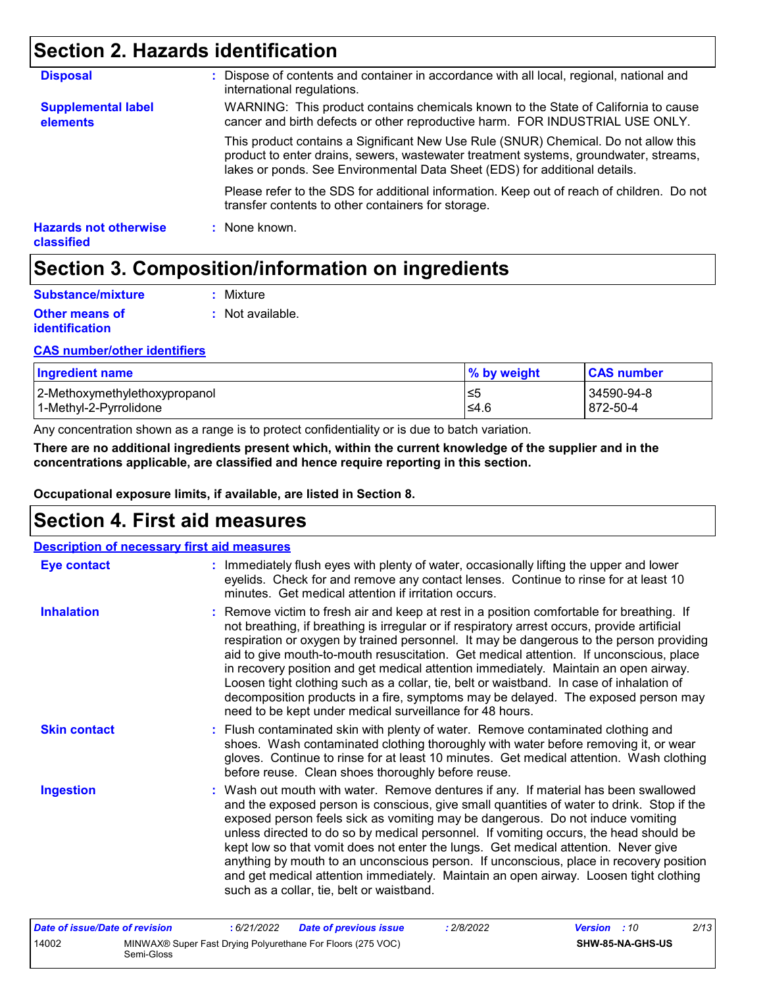# **Section 2. Hazards identification**

| <b>Hazards not otherwise</b><br><b>classified</b> | : None known.                                                                                                                                                                                                                                             |
|---------------------------------------------------|-----------------------------------------------------------------------------------------------------------------------------------------------------------------------------------------------------------------------------------------------------------|
|                                                   | Please refer to the SDS for additional information. Keep out of reach of children. Do not<br>transfer contents to other containers for storage.                                                                                                           |
|                                                   | This product contains a Significant New Use Rule (SNUR) Chemical. Do not allow this<br>product to enter drains, sewers, wastewater treatment systems, groundwater, streams,<br>lakes or ponds. See Environmental Data Sheet (EDS) for additional details. |
| <b>Supplemental label</b><br>elements             | WARNING: This product contains chemicals known to the State of California to cause<br>cancer and birth defects or other reproductive harm. FOR INDUSTRIAL USE ONLY.                                                                                       |
| <b>Disposal</b>                                   | : Dispose of contents and container in accordance with all local, regional, national and<br>international regulations.                                                                                                                                    |

# **Section 3. Composition/information on ingredients**

| <b>Substance/mixture</b>                | : Mixture        |
|-----------------------------------------|------------------|
| <b>Other means of</b><br>identification | : Not available. |

### **CAS number/other identifiers**

| <b>Ingredient name</b>        | % by weight | <b>CAS number</b> |
|-------------------------------|-------------|-------------------|
| 2-Methoxymethylethoxypropanol | ≤5          | 34590-94-8        |
| l 1-Methvl-2-Pvrrolidone_     | ≤4.6        | 872-50-4          |

Any concentration shown as a range is to protect confidentiality or is due to batch variation.

**There are no additional ingredients present which, within the current knowledge of the supplier and in the concentrations applicable, are classified and hence require reporting in this section.**

**Occupational exposure limits, if available, are listed in Section 8.**

### **Section 4. First aid measures**

| <b>Description of necessary first aid measures</b> |                                                                                                                                                                                                                                                                                                                                                                                                                                                                                                                                                                                                                                                                                                                     |
|----------------------------------------------------|---------------------------------------------------------------------------------------------------------------------------------------------------------------------------------------------------------------------------------------------------------------------------------------------------------------------------------------------------------------------------------------------------------------------------------------------------------------------------------------------------------------------------------------------------------------------------------------------------------------------------------------------------------------------------------------------------------------------|
| <b>Eye contact</b>                                 | : Immediately flush eyes with plenty of water, occasionally lifting the upper and lower<br>eyelids. Check for and remove any contact lenses. Continue to rinse for at least 10<br>minutes. Get medical attention if irritation occurs.                                                                                                                                                                                                                                                                                                                                                                                                                                                                              |
| <b>Inhalation</b>                                  | : Remove victim to fresh air and keep at rest in a position comfortable for breathing. If<br>not breathing, if breathing is irregular or if respiratory arrest occurs, provide artificial<br>respiration or oxygen by trained personnel. It may be dangerous to the person providing<br>aid to give mouth-to-mouth resuscitation. Get medical attention. If unconscious, place<br>in recovery position and get medical attention immediately. Maintain an open airway.<br>Loosen tight clothing such as a collar, tie, belt or waistband. In case of inhalation of<br>decomposition products in a fire, symptoms may be delayed. The exposed person may<br>need to be kept under medical surveillance for 48 hours. |
| <b>Skin contact</b>                                | : Flush contaminated skin with plenty of water. Remove contaminated clothing and<br>shoes. Wash contaminated clothing thoroughly with water before removing it, or wear<br>gloves. Continue to rinse for at least 10 minutes. Get medical attention. Wash clothing<br>before reuse. Clean shoes thoroughly before reuse.                                                                                                                                                                                                                                                                                                                                                                                            |
| <b>Ingestion</b>                                   | : Wash out mouth with water. Remove dentures if any. If material has been swallowed<br>and the exposed person is conscious, give small quantities of water to drink. Stop if the<br>exposed person feels sick as vomiting may be dangerous. Do not induce vomiting<br>unless directed to do so by medical personnel. If vomiting occurs, the head should be<br>kept low so that vomit does not enter the lungs. Get medical attention. Never give<br>anything by mouth to an unconscious person. If unconscious, place in recovery position<br>and get medical attention immediately. Maintain an open airway. Loosen tight clothing<br>such as a collar, tie, belt or waistband.                                   |
| Data of issue/Data of revision                     | 2/12<br>.6/21/2022<br>.2/2/2022<br>Data of province issue<br>V                                                                                                                                                                                                                                                                                                                                                                                                                                                                                                                                                                                                                                                      |

| Date of issue/Date of revision |            | 6/21/2022 | Date of previous issue                                      | 2/8/2022 | <b>Version</b> : 10 |                  | 2/13 |
|--------------------------------|------------|-----------|-------------------------------------------------------------|----------|---------------------|------------------|------|
| 14002                          | Semi-Gloss |           | MINWAX® Super Fast Drying Polyurethane For Floors (275 VOC) |          |                     | SHW-85-NA-GHS-US |      |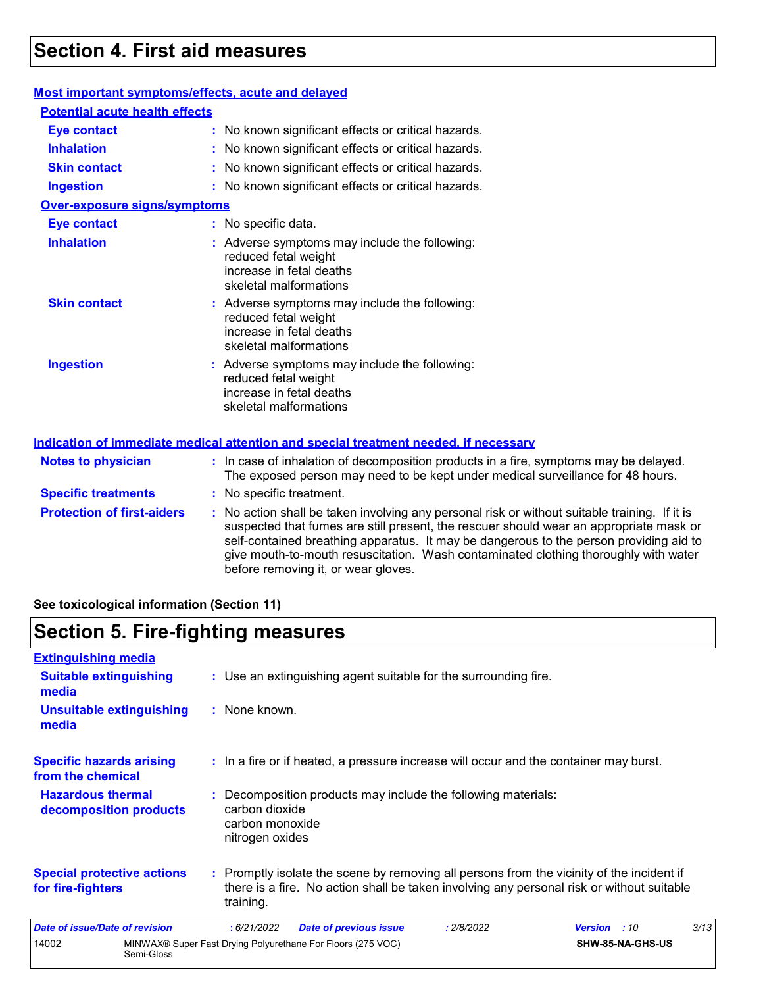# **Section 4. First aid measures**

### **Most important symptoms/effects, acute and delayed**

| <b>Potential acute health effects</b> |                                                                                                                                                                         |
|---------------------------------------|-------------------------------------------------------------------------------------------------------------------------------------------------------------------------|
| <b>Eye contact</b>                    | : No known significant effects or critical hazards.                                                                                                                     |
| <b>Inhalation</b>                     | : No known significant effects or critical hazards.                                                                                                                     |
| <b>Skin contact</b>                   | : No known significant effects or critical hazards.                                                                                                                     |
| <b>Ingestion</b>                      | : No known significant effects or critical hazards.                                                                                                                     |
| <b>Over-exposure signs/symptoms</b>   |                                                                                                                                                                         |
| <b>Eye contact</b>                    | : No specific data.                                                                                                                                                     |
| <b>Inhalation</b>                     | : Adverse symptoms may include the following:<br>reduced fetal weight<br>increase in fetal deaths<br>skeletal malformations                                             |
| <b>Skin contact</b>                   | : Adverse symptoms may include the following:<br>reduced fetal weight<br>increase in fetal deaths<br>skeletal malformations                                             |
| <b>Ingestion</b>                      | : Adverse symptoms may include the following:<br>reduced fetal weight<br>increase in fetal deaths<br>skeletal malformations                                             |
|                                       | <b>Indication of immediate medical attention and special treatment needed, if necessary</b>                                                                             |
| <b>Notes to physician</b>             | : In case of inhalation of decomposition products in a fire, symptoms may be delayed.<br>The exposed person may need to be kept under medical surveillance for 48 hours |

| <b>Specific treatments</b>        | The exposed person may need to be kept under medical surveillance for 48 hours.<br>: No specific treatment.                                                                                                                                                                                                                                                                                                     |
|-----------------------------------|-----------------------------------------------------------------------------------------------------------------------------------------------------------------------------------------------------------------------------------------------------------------------------------------------------------------------------------------------------------------------------------------------------------------|
| <b>Protection of first-aiders</b> | : No action shall be taken involving any personal risk or without suitable training. If it is<br>suspected that fumes are still present, the rescuer should wear an appropriate mask or<br>self-contained breathing apparatus. It may be dangerous to the person providing aid to<br>give mouth-to-mouth resuscitation. Wash contaminated clothing thoroughly with water<br>before removing it, or wear gloves. |

**See toxicological information (Section 11)**

## **Section 5. Fire-fighting measures**

| <b>Extinguishing media</b>                             |            |                                                      |                                                                 |            |                                                                                                                                                                                        |      |
|--------------------------------------------------------|------------|------------------------------------------------------|-----------------------------------------------------------------|------------|----------------------------------------------------------------------------------------------------------------------------------------------------------------------------------------|------|
| <b>Suitable extinguishing</b><br>media                 |            |                                                      | : Use an extinguishing agent suitable for the surrounding fire. |            |                                                                                                                                                                                        |      |
| <b>Unsuitable extinguishing</b><br>media               |            | : None known.                                        |                                                                 |            |                                                                                                                                                                                        |      |
| <b>Specific hazards arising</b><br>from the chemical   |            |                                                      |                                                                 |            | : In a fire or if heated, a pressure increase will occur and the container may burst.                                                                                                  |      |
| <b>Hazardous thermal</b><br>decomposition products     |            | carbon dioxide<br>carbon monoxide<br>nitrogen oxides | : Decomposition products may include the following materials:   |            |                                                                                                                                                                                        |      |
| <b>Special protective actions</b><br>for fire-fighters |            | training.                                            |                                                                 |            | : Promptly isolate the scene by removing all persons from the vicinity of the incident if<br>there is a fire. No action shall be taken involving any personal risk or without suitable |      |
| Date of issue/Date of revision                         |            | :6/21/2022                                           | <b>Date of previous issue</b>                                   | : 2/8/2022 | <b>Version</b> : 10                                                                                                                                                                    | 3/13 |
| 14002                                                  | Semi-Gloss |                                                      | MINWAX® Super Fast Drying Polyurethane For Floors (275 VOC)     |            | SHW-85-NA-GHS-US                                                                                                                                                                       |      |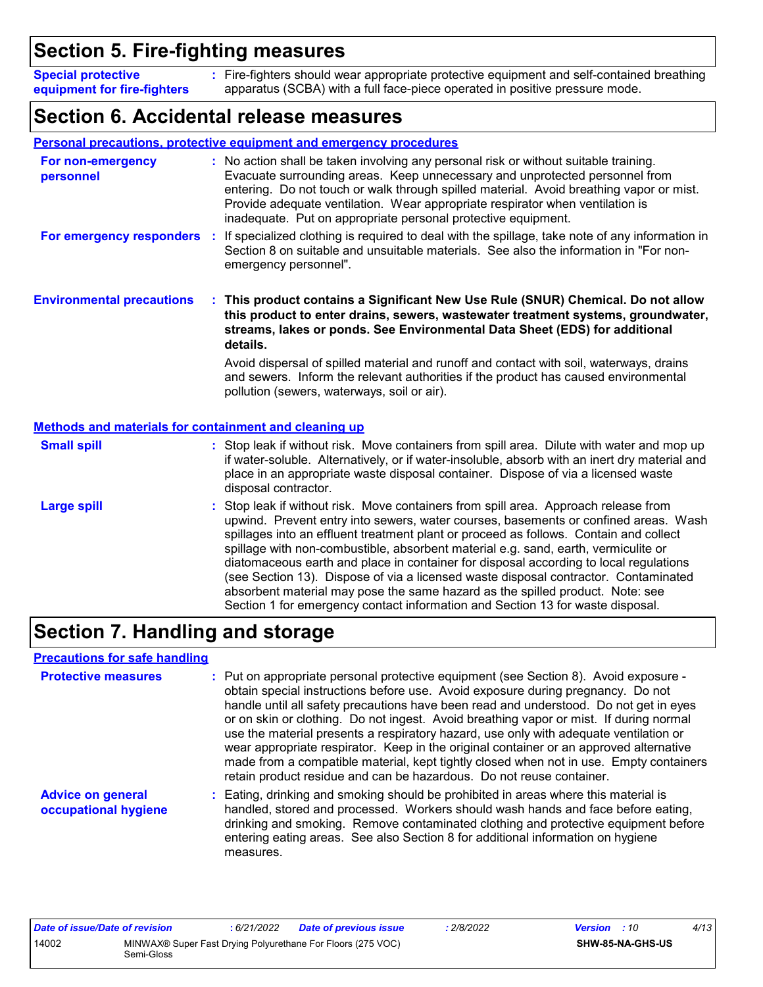# **Section 5. Fire-fighting measures**

Fire-fighters should wear appropriate protective equipment and self-contained breathing **:** apparatus (SCBA) with a full face-piece operated in positive pressure mode. **Special protective equipment for fire-fighters**

### **Section 6. Accidental release measures**

|                                                              | <b>Personal precautions, protective equipment and emergency procedures</b>                                                                                                                                                                                                                                                                                                                                                                                                                                                                                                                                                                                                                                   |
|--------------------------------------------------------------|--------------------------------------------------------------------------------------------------------------------------------------------------------------------------------------------------------------------------------------------------------------------------------------------------------------------------------------------------------------------------------------------------------------------------------------------------------------------------------------------------------------------------------------------------------------------------------------------------------------------------------------------------------------------------------------------------------------|
| For non-emergency<br>personnel                               | : No action shall be taken involving any personal risk or without suitable training.<br>Evacuate surrounding areas. Keep unnecessary and unprotected personnel from<br>entering. Do not touch or walk through spilled material. Avoid breathing vapor or mist.<br>Provide adequate ventilation. Wear appropriate respirator when ventilation is<br>inadequate. Put on appropriate personal protective equipment.                                                                                                                                                                                                                                                                                             |
| For emergency responders :                                   | If specialized clothing is required to deal with the spillage, take note of any information in<br>Section 8 on suitable and unsuitable materials. See also the information in "For non-<br>emergency personnel".                                                                                                                                                                                                                                                                                                                                                                                                                                                                                             |
| <b>Environmental precautions</b>                             | : This product contains a Significant New Use Rule (SNUR) Chemical. Do not allow<br>this product to enter drains, sewers, wastewater treatment systems, groundwater,<br>streams, lakes or ponds. See Environmental Data Sheet (EDS) for additional<br>details.                                                                                                                                                                                                                                                                                                                                                                                                                                               |
|                                                              | Avoid dispersal of spilled material and runoff and contact with soil, waterways, drains<br>and sewers. Inform the relevant authorities if the product has caused environmental<br>pollution (sewers, waterways, soil or air).                                                                                                                                                                                                                                                                                                                                                                                                                                                                                |
| <b>Methods and materials for containment and cleaning up</b> |                                                                                                                                                                                                                                                                                                                                                                                                                                                                                                                                                                                                                                                                                                              |
| <b>Small spill</b>                                           | : Stop leak if without risk. Move containers from spill area. Dilute with water and mop up<br>if water-soluble. Alternatively, or if water-insoluble, absorb with an inert dry material and<br>place in an appropriate waste disposal container. Dispose of via a licensed waste<br>disposal contractor.                                                                                                                                                                                                                                                                                                                                                                                                     |
| <b>Large spill</b>                                           | : Stop leak if without risk. Move containers from spill area. Approach release from<br>upwind. Prevent entry into sewers, water courses, basements or confined areas. Wash<br>spillages into an effluent treatment plant or proceed as follows. Contain and collect<br>spillage with non-combustible, absorbent material e.g. sand, earth, vermiculite or<br>diatomaceous earth and place in container for disposal according to local regulations<br>(see Section 13). Dispose of via a licensed waste disposal contractor. Contaminated<br>absorbent material may pose the same hazard as the spilled product. Note: see<br>Section 1 for emergency contact information and Section 13 for waste disposal. |

# **Section 7. Handling and storage**

### **Precautions for safe handling**

| <b>Protective measures</b>                       | : Put on appropriate personal protective equipment (see Section 8). Avoid exposure -<br>obtain special instructions before use. Avoid exposure during pregnancy. Do not<br>handle until all safety precautions have been read and understood. Do not get in eyes<br>or on skin or clothing. Do not ingest. Avoid breathing vapor or mist. If during normal<br>use the material presents a respiratory hazard, use only with adequate ventilation or<br>wear appropriate respirator. Keep in the original container or an approved alternative<br>made from a compatible material, kept tightly closed when not in use. Empty containers<br>retain product residue and can be hazardous. Do not reuse container. |
|--------------------------------------------------|-----------------------------------------------------------------------------------------------------------------------------------------------------------------------------------------------------------------------------------------------------------------------------------------------------------------------------------------------------------------------------------------------------------------------------------------------------------------------------------------------------------------------------------------------------------------------------------------------------------------------------------------------------------------------------------------------------------------|
| <b>Advice on general</b><br>occupational hygiene | : Eating, drinking and smoking should be prohibited in areas where this material is<br>handled, stored and processed. Workers should wash hands and face before eating,<br>drinking and smoking. Remove contaminated clothing and protective equipment before<br>entering eating areas. See also Section 8 for additional information on hygiene<br>measures.                                                                                                                                                                                                                                                                                                                                                   |

| Date of issue/Date of revision |            | : 6/21/2022 | Date of previous issue                                      | 2/8/2022 | <b>Version</b> : 10 |                         | 4/13 |
|--------------------------------|------------|-------------|-------------------------------------------------------------|----------|---------------------|-------------------------|------|
| 14002                          | Semi-Gloss |             | MINWAX® Super Fast Drying Polyurethane For Floors (275 VOC) |          |                     | <b>SHW-85-NA-GHS-US</b> |      |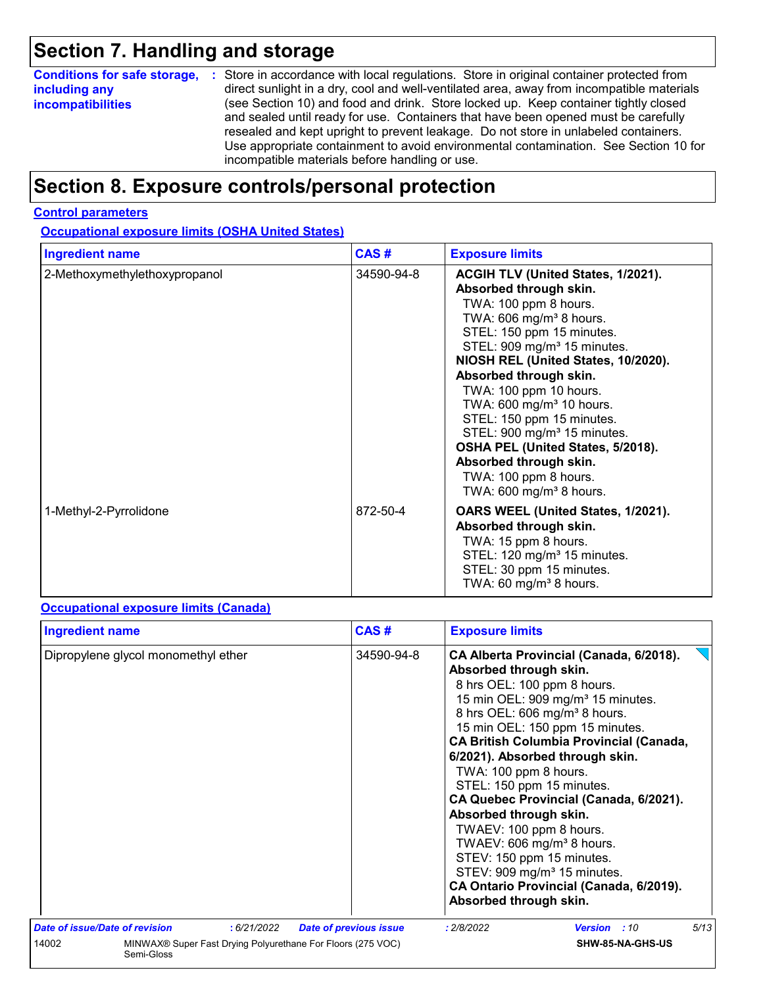# **Section 7. Handling and storage**

| <b>Conditions for safe storage,</b> | : Store in accordance with local regulations. Store in original container protected from                                                                                                                                                                                                                                                                                                                   |
|-------------------------------------|------------------------------------------------------------------------------------------------------------------------------------------------------------------------------------------------------------------------------------------------------------------------------------------------------------------------------------------------------------------------------------------------------------|
| including any                       | direct sunlight in a dry, cool and well-ventilated area, away from incompatible materials                                                                                                                                                                                                                                                                                                                  |
| <i>incompatibilities</i>            | (see Section 10) and food and drink. Store locked up. Keep container tightly closed<br>and sealed until ready for use. Containers that have been opened must be carefully<br>resealed and kept upright to prevent leakage. Do not store in unlabeled containers.<br>Use appropriate containment to avoid environmental contamination. See Section 10 for<br>incompatible materials before handling or use. |

# **Section 8. Exposure controls/personal protection**

### **Control parameters**

**Occupational exposure limits (OSHA United States)**

| <b>Ingredient name</b>        | CAS#       | <b>Exposure limits</b>                                                                                                                                                                                                                                                                                                                                                                                                                                                                                                                        |
|-------------------------------|------------|-----------------------------------------------------------------------------------------------------------------------------------------------------------------------------------------------------------------------------------------------------------------------------------------------------------------------------------------------------------------------------------------------------------------------------------------------------------------------------------------------------------------------------------------------|
| 2-Methoxymethylethoxypropanol | 34590-94-8 | ACGIH TLV (United States, 1/2021).<br>Absorbed through skin.<br>TWA: 100 ppm 8 hours.<br>TWA: 606 mg/m <sup>3</sup> 8 hours.<br>STEL: 150 ppm 15 minutes.<br>STEL: 909 mg/m <sup>3</sup> 15 minutes.<br>NIOSH REL (United States, 10/2020).<br>Absorbed through skin.<br>TWA: 100 ppm 10 hours.<br>TWA: 600 mg/m <sup>3</sup> 10 hours.<br>STEL: 150 ppm 15 minutes.<br>STEL: 900 mg/m <sup>3</sup> 15 minutes.<br>OSHA PEL (United States, 5/2018).<br>Absorbed through skin.<br>TWA: 100 ppm 8 hours.<br>TWA: $600 \text{ mg/m}^3$ 8 hours. |
| 1-Methyl-2-Pyrrolidone        | 872-50-4   | OARS WEEL (United States, 1/2021).<br>Absorbed through skin.<br>TWA: 15 ppm 8 hours.<br>STEL: 120 mg/m <sup>3</sup> 15 minutes.<br>STEL: 30 ppm 15 minutes.<br>TWA: 60 mg/m <sup>3</sup> 8 hours.                                                                                                                                                                                                                                                                                                                                             |

#### **Occupational exposure limits (Canada)**

| <b>Ingredient name</b>         |                                                                           | CAS#                          | <b>Exposure limits</b>                                                                                                                                                                                                                                                                                                                                                                                                                                                                                                                                                                                                                                            |
|--------------------------------|---------------------------------------------------------------------------|-------------------------------|-------------------------------------------------------------------------------------------------------------------------------------------------------------------------------------------------------------------------------------------------------------------------------------------------------------------------------------------------------------------------------------------------------------------------------------------------------------------------------------------------------------------------------------------------------------------------------------------------------------------------------------------------------------------|
|                                | Dipropylene glycol monomethyl ether                                       | 34590-94-8                    | CA Alberta Provincial (Canada, 6/2018).<br>Absorbed through skin.<br>8 hrs OEL: 100 ppm 8 hours.<br>15 min OEL: 909 mg/m <sup>3</sup> 15 minutes.<br>8 hrs OEL: 606 mg/m <sup>3</sup> 8 hours.<br>15 min OEL: 150 ppm 15 minutes.<br><b>CA British Columbia Provincial (Canada,</b><br>6/2021). Absorbed through skin.<br>TWA: 100 ppm 8 hours.<br>STEL: 150 ppm 15 minutes.<br>CA Quebec Provincial (Canada, 6/2021).<br>Absorbed through skin.<br>TWAEV: 100 ppm 8 hours.<br>TWAEV: 606 mg/m <sup>3</sup> 8 hours.<br>STEV: 150 ppm 15 minutes.<br>STEV: 909 mg/m <sup>3</sup> 15 minutes.<br>CA Ontario Provincial (Canada, 6/2019).<br>Absorbed through skin. |
| Date of issue/Date of revision | :6/21/2022                                                                | <b>Date of previous issue</b> | 5/13<br>: 2/8/2022<br><b>Version</b> : 10                                                                                                                                                                                                                                                                                                                                                                                                                                                                                                                                                                                                                         |
| 14002                          | MINWAX® Super Fast Drying Polyurethane For Floors (275 VOC)<br>Semi-Gloss |                               | SHW-85-NA-GHS-US                                                                                                                                                                                                                                                                                                                                                                                                                                                                                                                                                                                                                                                  |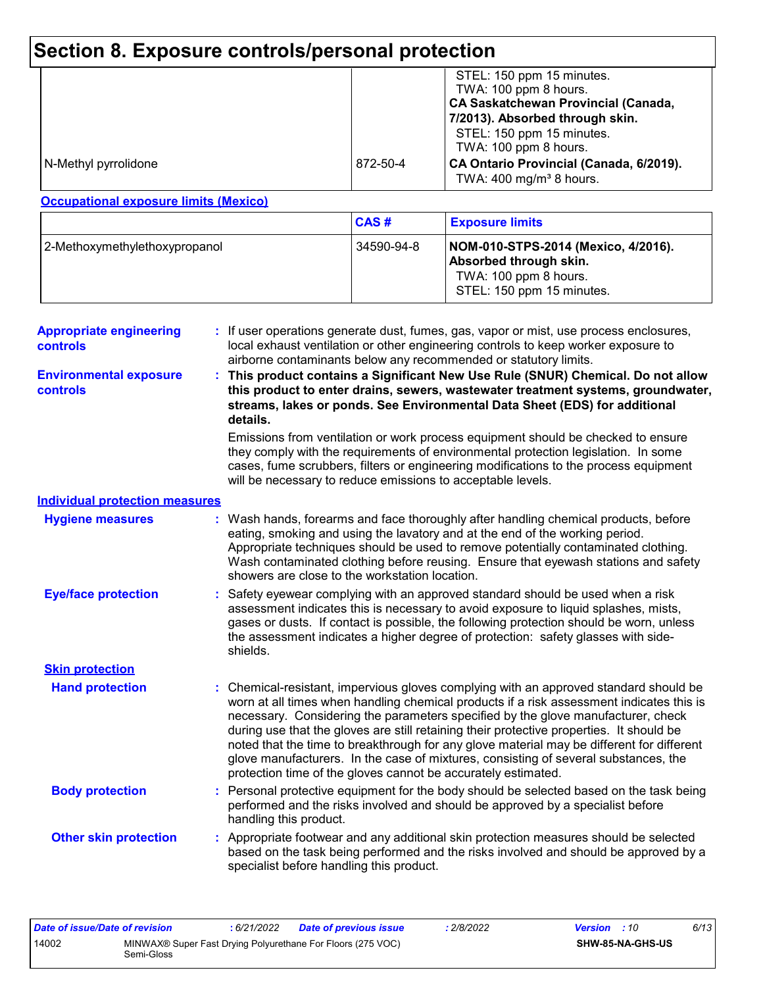# **Section 8. Exposure controls/personal protection**

|                      |          | STEL: 150 ppm 15 minutes.<br>TWA: 100 ppm 8 hours.<br><b>CA Saskatchewan Provincial (Canada,</b><br>7/2013). Absorbed through skin.<br>STEL: 150 ppm 15 minutes.<br>TWA: 100 ppm 8 hours. |
|----------------------|----------|-------------------------------------------------------------------------------------------------------------------------------------------------------------------------------------------|
| N-Methyl pyrrolidone | 872-50-4 | CA Ontario Provincial (Canada, 6/2019).<br>TWA: $400 \text{ mg/m}^3$ 8 hours.                                                                                                             |

### **Occupational exposure limits (Mexico)**

|                               | CAS#       | <b>Exposure limits</b>                                                                                              |
|-------------------------------|------------|---------------------------------------------------------------------------------------------------------------------|
| 2-Methoxymethylethoxypropanol | 34590-94-8 | NOM-010-STPS-2014 (Mexico, 4/2016).<br>Absorbed through skin.<br>TWA: 100 ppm 8 hours.<br>STEL: 150 ppm 15 minutes. |

| <b>Appropriate engineering</b><br><b>controls</b> |    | : If user operations generate dust, fumes, gas, vapor or mist, use process enclosures,<br>local exhaust ventilation or other engineering controls to keep worker exposure to<br>airborne contaminants below any recommended or statutory limits.                                                                                                                                                                                                                                                                                                                                                                     |
|---------------------------------------------------|----|----------------------------------------------------------------------------------------------------------------------------------------------------------------------------------------------------------------------------------------------------------------------------------------------------------------------------------------------------------------------------------------------------------------------------------------------------------------------------------------------------------------------------------------------------------------------------------------------------------------------|
| <b>Environmental exposure</b><br>controls         |    | This product contains a Significant New Use Rule (SNUR) Chemical. Do not allow<br>this product to enter drains, sewers, wastewater treatment systems, groundwater,<br>streams, lakes or ponds. See Environmental Data Sheet (EDS) for additional<br>details.                                                                                                                                                                                                                                                                                                                                                         |
|                                                   |    | Emissions from ventilation or work process equipment should be checked to ensure<br>they comply with the requirements of environmental protection legislation. In some<br>cases, fume scrubbers, filters or engineering modifications to the process equipment<br>will be necessary to reduce emissions to acceptable levels.                                                                                                                                                                                                                                                                                        |
| <b>Individual protection measures</b>             |    |                                                                                                                                                                                                                                                                                                                                                                                                                                                                                                                                                                                                                      |
| <b>Hygiene measures</b>                           |    | : Wash hands, forearms and face thoroughly after handling chemical products, before<br>eating, smoking and using the lavatory and at the end of the working period.<br>Appropriate techniques should be used to remove potentially contaminated clothing.<br>Wash contaminated clothing before reusing. Ensure that eyewash stations and safety<br>showers are close to the workstation location.                                                                                                                                                                                                                    |
| <b>Eye/face protection</b>                        |    | Safety eyewear complying with an approved standard should be used when a risk<br>assessment indicates this is necessary to avoid exposure to liquid splashes, mists,<br>gases or dusts. If contact is possible, the following protection should be worn, unless<br>the assessment indicates a higher degree of protection: safety glasses with side-<br>shields.                                                                                                                                                                                                                                                     |
| <b>Skin protection</b>                            |    |                                                                                                                                                                                                                                                                                                                                                                                                                                                                                                                                                                                                                      |
| <b>Hand protection</b>                            |    | Chemical-resistant, impervious gloves complying with an approved standard should be<br>worn at all times when handling chemical products if a risk assessment indicates this is<br>necessary. Considering the parameters specified by the glove manufacturer, check<br>during use that the gloves are still retaining their protective properties. It should be<br>noted that the time to breakthrough for any glove material may be different for different<br>glove manufacturers. In the case of mixtures, consisting of several substances, the<br>protection time of the gloves cannot be accurately estimated. |
| <b>Body protection</b>                            | ÷. | Personal protective equipment for the body should be selected based on the task being<br>performed and the risks involved and should be approved by a specialist before<br>handling this product.                                                                                                                                                                                                                                                                                                                                                                                                                    |
| <b>Other skin protection</b>                      |    | : Appropriate footwear and any additional skin protection measures should be selected<br>based on the task being performed and the risks involved and should be approved by a<br>specialist before handling this product.                                                                                                                                                                                                                                                                                                                                                                                            |

| Date of issue/Date of revision |            | 6/21/2022 | <b>Date of previous issue</b>                               | : 2/8/2022 | <b>Version</b> : 10 |                         | 6/13 |
|--------------------------------|------------|-----------|-------------------------------------------------------------|------------|---------------------|-------------------------|------|
| 14002                          | Semi-Gloss |           | MINWAX® Super Fast Drying Polyurethane For Floors (275 VOC) |            |                     | <b>SHW-85-NA-GHS-US</b> |      |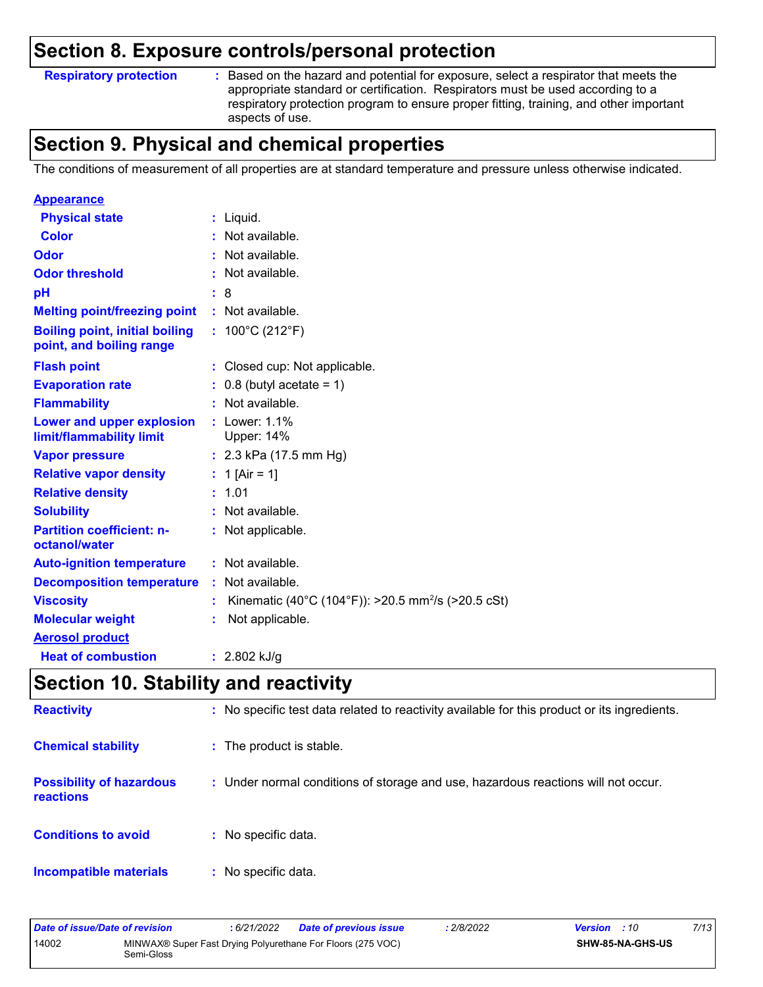### **Section 8. Exposure controls/personal protection**

### **Respiratory protection :**

: Based on the hazard and potential for exposure, select a respirator that meets the appropriate standard or certification. Respirators must be used according to a respiratory protection program to ensure proper fitting, training, and other important aspects of use.

# **Section 9. Physical and chemical properties**

The conditions of measurement of all properties are at standard temperature and pressure unless otherwise indicated.

| <b>Appearance</b>                                                 |                                                                |
|-------------------------------------------------------------------|----------------------------------------------------------------|
| <b>Physical state</b>                                             | $:$ Liquid.                                                    |
| Color                                                             | : Not available.                                               |
| Odor                                                              | : Not available.                                               |
| <b>Odor threshold</b>                                             | : Not available.                                               |
| рH                                                                | : 8                                                            |
| <b>Melting point/freezing point</b>                               | : Not available.                                               |
| <b>Boiling point, initial boiling</b><br>point, and boiling range | : $100^{\circ}$ C (212 $^{\circ}$ F)                           |
| <b>Flash point</b>                                                | : Closed cup: Not applicable.                                  |
| <b>Evaporation rate</b>                                           | $: 0.8$ (butyl acetate = 1)                                    |
| <b>Flammability</b>                                               | : Not available.                                               |
| Lower and upper explosion<br>limit/flammability limit             | $:$ Lower: 1.1%<br><b>Upper: 14%</b>                           |
| <b>Vapor pressure</b>                                             | : $2.3$ kPa (17.5 mm Hg)                                       |
| <b>Relative vapor density</b>                                     | : 1 [Air = 1]                                                  |
| <b>Relative density</b>                                           | : 1.01                                                         |
| <b>Solubility</b>                                                 | : Not available.                                               |
| <b>Partition coefficient: n-</b><br>octanol/water                 | : Not applicable.                                              |
| <b>Auto-ignition temperature</b>                                  | $:$ Not available.                                             |
| <b>Decomposition temperature</b>                                  | : Not available.                                               |
| <b>Viscosity</b>                                                  | Kinematic (40°C (104°F)): >20.5 mm <sup>2</sup> /s (>20.5 cSt) |
| <b>Molecular weight</b>                                           | Not applicable.                                                |
| <b>Aerosol product</b>                                            |                                                                |
| <b>Heat of combustion</b>                                         | : $2.802$ kJ/g                                                 |

## **Section 10. Stability and reactivity**

| <b>Reactivity</b>                            | : No specific test data related to reactivity available for this product or its ingredients. |
|----------------------------------------------|----------------------------------------------------------------------------------------------|
| <b>Chemical stability</b>                    | : The product is stable.                                                                     |
| <b>Possibility of hazardous</b><br>reactions | : Under normal conditions of storage and use, hazardous reactions will not occur.            |
| <b>Conditions to avoid</b>                   | : No specific data.                                                                          |
| <b>Incompatible materials</b>                | : No specific data.                                                                          |

| Date of issue/Date of revision                                                     |  | : 6/21/2022 | <b>Date of previous issue</b> | : 2/8/2022 | <b>Version</b> : 10 | 7/13 |
|------------------------------------------------------------------------------------|--|-------------|-------------------------------|------------|---------------------|------|
| 14002<br>MINWAX® Super Fast Drying Polyurethane For Floors (275 VOC)<br>Semi-Gloss |  |             | <b>SHW-85-NA-GHS-US</b>       |            |                     |      |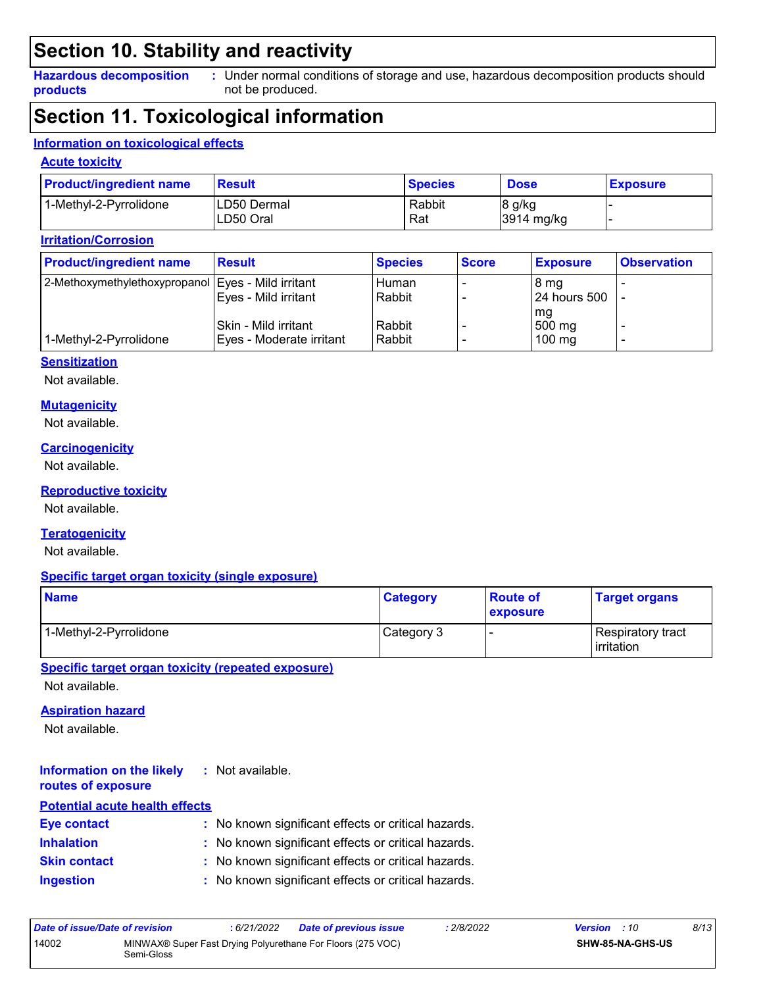# **Section 10. Stability and reactivity**

**Hazardous decomposition products**

Under normal conditions of storage and use, hazardous decomposition products should **:** not be produced.

### **Section 11. Toxicological information**

### **Information on toxicological effects**

### **Acute toxicity**

| <b>Product/ingredient name</b> | Result                   | <b>Species</b> | <b>Dose</b>          | <b>Exposure</b> |
|--------------------------------|--------------------------|----------------|----------------------|-----------------|
| 1-Methyl-2-Pyrrolidone         | LD50 Dermal<br>LD50 Oral | Rabbit<br>Rat  | 8 g/kg<br>3914 mg/kg |                 |

### **Irritation/Corrosion**

| <b>Product/ingredient name</b>                       | <b>Result</b>            | <b>Species</b> | <b>Score</b> | <b>Exposure</b>  | <b>Observation</b> |
|------------------------------------------------------|--------------------------|----------------|--------------|------------------|--------------------|
| 2-Methoxymethylethoxypropanol   Eyes - Mild irritant |                          | Human          |              | 8 mg             |                    |
|                                                      | Eyes - Mild irritant     | Rabbit         |              | 24 hours 500     |                    |
|                                                      |                          |                |              | l mg             |                    |
|                                                      | Skin - Mild irritant     | Rabbit         |              | 500 mg           |                    |
| 1-Methyl-2-Pyrrolidone                               | Eyes - Moderate irritant | Rabbit         |              | $100 \text{ mg}$ |                    |

#### **Sensitization**

Not available.

#### **Mutagenicity**

Not available.

### **Carcinogenicity**

Not available.

#### **Reproductive toxicity**

Not available.

### **Teratogenicity**

Not available.

#### **Specific target organ toxicity (single exposure)**

| <b>Name</b>            | <b>Category</b> | <b>Route of</b><br><b>exposure</b> | <b>Target organs</b>                      |
|------------------------|-----------------|------------------------------------|-------------------------------------------|
| 1-Methyl-2-Pyrrolidone | Category 3      |                                    | Respiratory tract_<br><b>l</b> irritation |

**Specific target organ toxicity (repeated exposure)**

Not available.

#### **Aspiration hazard**

Not available.

#### **Information on the likely routes of exposure :** Not available.

| <b>Potential acute health effects</b> |                                                     |
|---------------------------------------|-----------------------------------------------------|
| <b>Eye contact</b>                    | : No known significant effects or critical hazards. |
| <b>Inhalation</b>                     | : No known significant effects or critical hazards. |
| <b>Skin contact</b>                   | : No known significant effects or critical hazards. |
| <b>Ingestion</b>                      | : No known significant effects or critical hazards. |

| Date of issue/Date of revision |            | : 6/21/2022 | <b>Date of previous issue</b>                               | : 2/8/2022 | <b>Version</b> : 10 |                         | 8/13 |
|--------------------------------|------------|-------------|-------------------------------------------------------------|------------|---------------------|-------------------------|------|
| 14002                          | Semi-Gloss |             | MINWAX® Super Fast Drying Polyurethane For Floors (275 VOC) |            |                     | <b>SHW-85-NA-GHS-US</b> |      |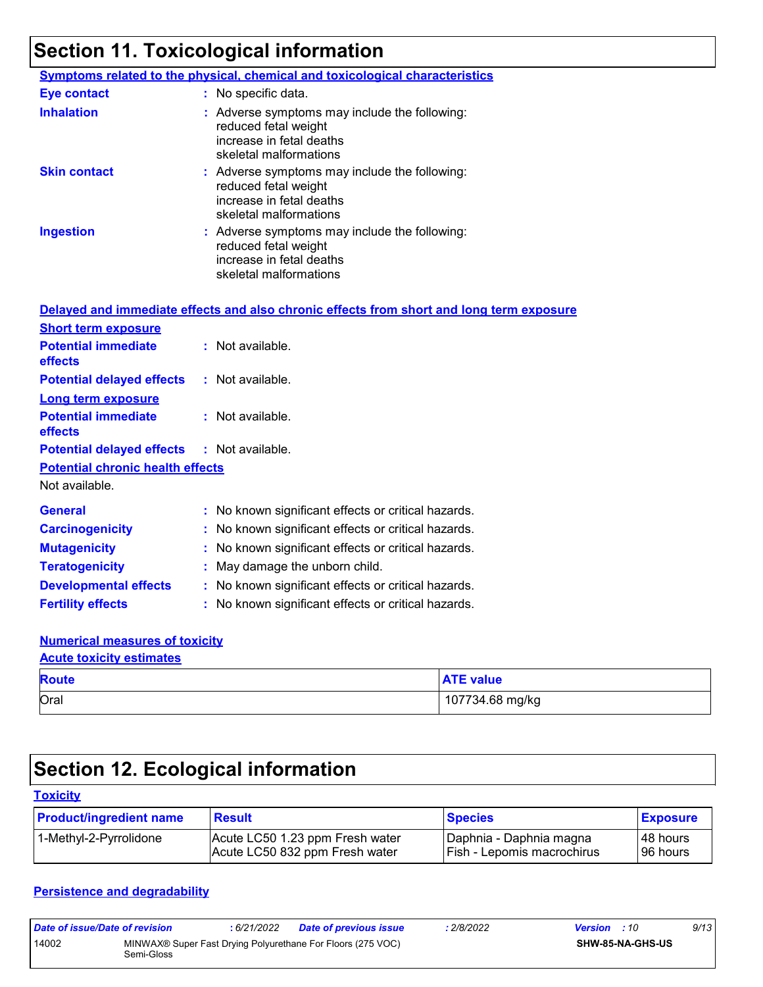# **Section 11. Toxicological information**

|                     | <b>Symptoms related to the physical, chemical and toxicological characteristics</b>                                         |
|---------------------|-----------------------------------------------------------------------------------------------------------------------------|
| <b>Eye contact</b>  | $\therefore$ No specific data.                                                                                              |
| <b>Inhalation</b>   | : Adverse symptoms may include the following:<br>reduced fetal weight<br>increase in fetal deaths<br>skeletal malformations |
| <b>Skin contact</b> | : Adverse symptoms may include the following:<br>reduced fetal weight<br>increase in fetal deaths<br>skeletal malformations |
| <b>Ingestion</b>    | : Adverse symptoms may include the following:<br>reduced fetal weight<br>increase in fetal deaths<br>skeletal malformations |

|                                                   | Delayed and immediate effects and also chronic effects from short and long term exposure |
|---------------------------------------------------|------------------------------------------------------------------------------------------|
| <b>Short term exposure</b>                        |                                                                                          |
| <b>Potential immediate</b><br><b>effects</b>      | : Not available.                                                                         |
| <b>Potential delayed effects : Not available.</b> |                                                                                          |
| <b>Long term exposure</b>                         |                                                                                          |
| <b>Potential immediate</b><br><b>effects</b>      | : Not available.                                                                         |
| <b>Potential delayed effects : Not available.</b> |                                                                                          |
| <b>Potential chronic health effects</b>           |                                                                                          |
| Not available.                                    |                                                                                          |
| <b>General</b>                                    | : No known significant effects or critical hazards.                                      |
| <b>Carcinogenicity</b>                            | : No known significant effects or critical hazards.                                      |
| <b>Mutagenicity</b>                               | : No known significant effects or critical hazards.                                      |
| <b>Teratogenicity</b>                             | : May damage the unborn child.                                                           |
| <b>Developmental effects</b>                      | : No known significant effects or critical hazards.                                      |
| <b>Fertility effects</b>                          | : No known significant effects or critical hazards.                                      |

### **Numerical measures of toxicity**

### Oral 107734.68 mg/kg **Route ATE value Acute toxicity estimates**

# **Section 12. Ecological information**

### **Toxicity**

| <b>Product/ingredient name</b> | <b>Result</b>                   | <b>Species</b>             | <b>Exposure</b> |
|--------------------------------|---------------------------------|----------------------------|-----------------|
| 1-Methyl-2-Pyrrolidone         | Acute LC50 1.23 ppm Fresh water | Daphnia - Daphnia magna    | I 48 hours      |
|                                | Acute LC50 832 ppm Fresh water  | Fish - Lepomis macrochirus | 96 hours        |

### **Persistence and degradability**

| Date of issue/Date of revision |            | : 6/21/2022 | <b>Date of previous issue</b>                               | 2/8/2022 | <b>Version</b> : 10 |                         | 9/13 |
|--------------------------------|------------|-------------|-------------------------------------------------------------|----------|---------------------|-------------------------|------|
| 14002                          | Semi-Gloss |             | MINWAX® Super Fast Drying Polyurethane For Floors (275 VOC) |          |                     | <b>SHW-85-NA-GHS-US</b> |      |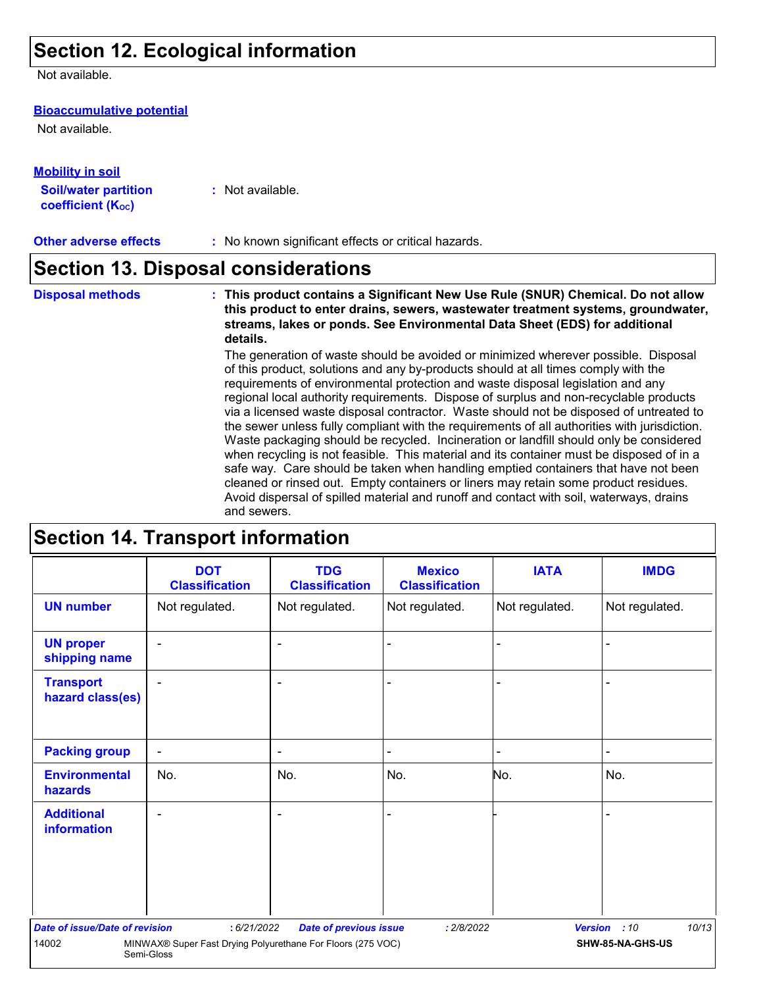# **Section 12. Ecological information**

Not available.

#### **Bioaccumulative potential**

Not available.

| <u>Mobility in soil</u>                                 |                  |
|---------------------------------------------------------|------------------|
| <b>Soil/water partition</b><br><b>coefficient (Koc)</b> | : Not available. |

### **Section 13. Disposal considerations**

The generation of waste should be avoided or minimized wherever possible. Disposal **Disposal methods : This product contains a Significant New Use Rule (SNUR) Chemical. Do not allow this product to enter drains, sewers, wastewater treatment systems, groundwater, streams, lakes or ponds. See Environmental Data Sheet (EDS) for additional details.**

of this product, solutions and any by-products should at all times comply with the requirements of environmental protection and waste disposal legislation and any regional local authority requirements. Dispose of surplus and non-recyclable products via a licensed waste disposal contractor. Waste should not be disposed of untreated to the sewer unless fully compliant with the requirements of all authorities with jurisdiction. Waste packaging should be recycled. Incineration or landfill should only be considered when recycling is not feasible. This material and its container must be disposed of in a safe way. Care should be taken when handling emptied containers that have not been cleaned or rinsed out. Empty containers or liners may retain some product residues. Avoid dispersal of spilled material and runoff and contact with soil, waterways, drains and sewers.

### **Section 14. Transport information**

|                                       | <b>DOT</b><br><b>Classification</b>                                       | <b>TDG</b><br><b>Classification</b> | <b>Mexico</b><br><b>Classification</b> | <b>IATA</b>    | <b>IMDG</b>           |
|---------------------------------------|---------------------------------------------------------------------------|-------------------------------------|----------------------------------------|----------------|-----------------------|
| <b>UN number</b>                      | Not regulated.                                                            | Not regulated.                      | Not regulated.                         | Not regulated. | Not regulated.        |
| <b>UN proper</b><br>shipping name     | ٠                                                                         | ٠                                   |                                        |                |                       |
| <b>Transport</b><br>hazard class(es)  |                                                                           | ۰                                   |                                        |                |                       |
| <b>Packing group</b>                  | $\blacksquare$                                                            | $\blacksquare$                      |                                        | $\blacksquare$ |                       |
| <b>Environmental</b><br>hazards       | No.                                                                       | No.                                 | No.                                    | No.            | No.                   |
| <b>Additional</b><br>information      |                                                                           | ٠                                   |                                        |                |                       |
| <b>Date of issue/Date of revision</b> | : 6/21/2022                                                               | <b>Date of previous issue</b>       | : 2/8/2022                             |                | 10/13<br>Version : 10 |
| 14002                                 | MINWAX® Super Fast Drying Polyurethane For Floors (275 VOC)<br>Semi-Gloss |                                     |                                        |                | SHW-85-NA-GHS-US      |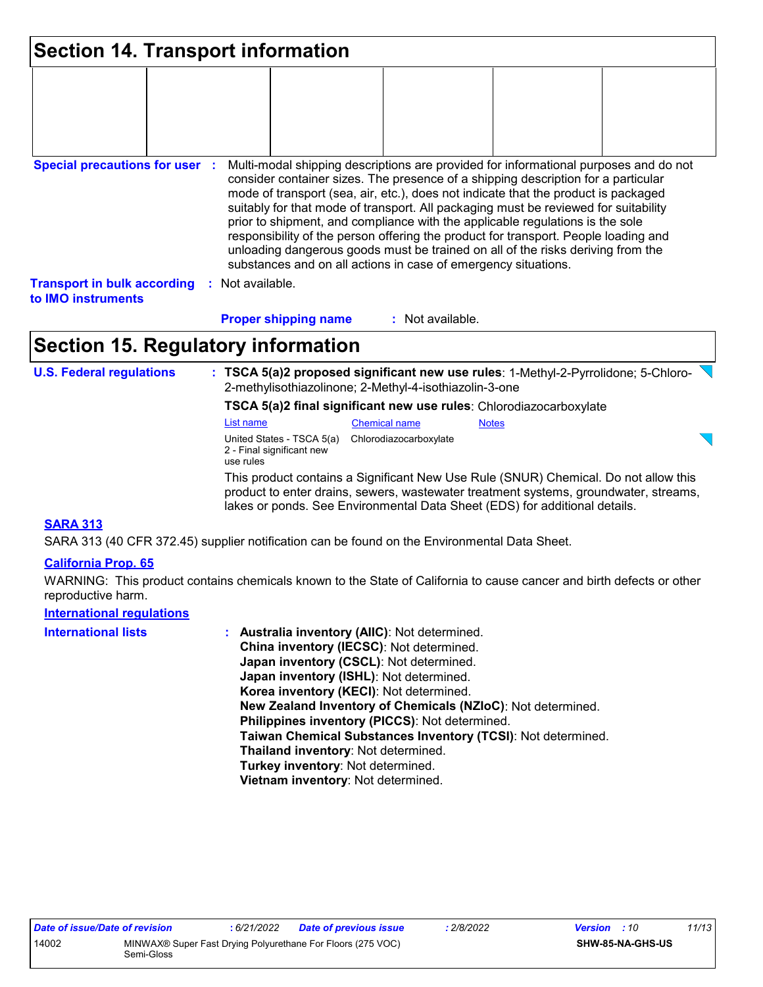| <b>Section 14. Transport information</b>                                                                                                                                                                                                                                                                                                                                                                                                                                                                                                                                                                                                                                                                                     |  |                      |                             |                  |  |  |  |
|------------------------------------------------------------------------------------------------------------------------------------------------------------------------------------------------------------------------------------------------------------------------------------------------------------------------------------------------------------------------------------------------------------------------------------------------------------------------------------------------------------------------------------------------------------------------------------------------------------------------------------------------------------------------------------------------------------------------------|--|----------------------|-----------------------------|------------------|--|--|--|
|                                                                                                                                                                                                                                                                                                                                                                                                                                                                                                                                                                                                                                                                                                                              |  |                      |                             |                  |  |  |  |
| <b>Special precautions for user :</b><br>Multi-modal shipping descriptions are provided for informational purposes and do not<br>consider container sizes. The presence of a shipping description for a particular<br>mode of transport (sea, air, etc.), does not indicate that the product is packaged<br>suitably for that mode of transport. All packaging must be reviewed for suitability<br>prior to shipment, and compliance with the applicable regulations is the sole<br>responsibility of the person offering the product for transport. People loading and<br>unloading dangerous goods must be trained on all of the risks deriving from the<br>substances and on all actions in case of emergency situations. |  |                      |                             |                  |  |  |  |
| <b>Transport in bulk according</b><br>to IMO instruments                                                                                                                                                                                                                                                                                                                                                                                                                                                                                                                                                                                                                                                                     |  | Not available.<br>÷. |                             |                  |  |  |  |
|                                                                                                                                                                                                                                                                                                                                                                                                                                                                                                                                                                                                                                                                                                                              |  |                      | <b>Proper shipping name</b> | : Not available. |  |  |  |

# **Section 15. Regulatory information**

**U.S. Federal regulations : TSCA 5(a)2 proposed significant new use rules**: 1-Methyl-2-Pyrrolidone; 5-Chloro-2-methylisothiazolinone; 2-Methyl-4-isothiazolin-3-one

**TSCA 5(a)2 final significant new use rules**: Chlorodiazocarboxylate

This product contains a Significant New Use Rule (SNUR) Chemical. Do not allow this List name Chemical name Notes United States - TSCA 5(a) Chlorodiazocarboxylate 2 - Final significant new use rules

product to enter drains, sewers, wastewater treatment systems, groundwater, streams, lakes or ponds. See Environmental Data Sheet (EDS) for additional details.

### **SARA 313**

SARA 313 (40 CFR 372.45) supplier notification can be found on the Environmental Data Sheet.

### **California Prop. 65**

WARNING: This product contains chemicals known to the State of California to cause cancer and birth defects or other reproductive harm.

### **International regulations**

| <b>International lists</b> | : Australia inventory (AIIC): Not determined.                |
|----------------------------|--------------------------------------------------------------|
|                            | China inventory (IECSC): Not determined.                     |
|                            | Japan inventory (CSCL): Not determined.                      |
|                            | Japan inventory (ISHL): Not determined.                      |
|                            | Korea inventory (KECI): Not determined.                      |
|                            | New Zealand Inventory of Chemicals (NZIoC): Not determined.  |
|                            | Philippines inventory (PICCS): Not determined.               |
|                            | Taiwan Chemical Substances Inventory (TCSI): Not determined. |
|                            | Thailand inventory: Not determined.                          |
|                            | Turkey inventory: Not determined.                            |
|                            | Vietnam inventory: Not determined.                           |

ਹ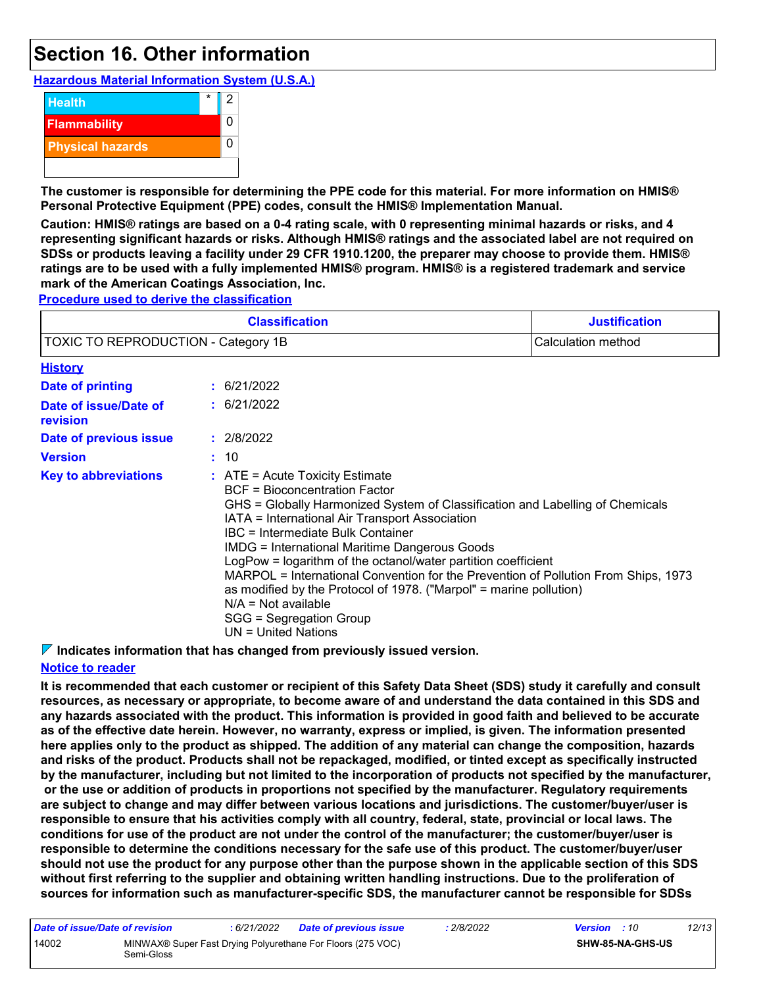# **Section 16. Other information**

**Hazardous Material Information System (U.S.A.)**



**The customer is responsible for determining the PPE code for this material. For more information on HMIS® Personal Protective Equipment (PPE) codes, consult the HMIS® Implementation Manual.**

**Caution: HMIS® ratings are based on a 0-4 rating scale, with 0 representing minimal hazards or risks, and 4 representing significant hazards or risks. Although HMIS® ratings and the associated label are not required on SDSs or products leaving a facility under 29 CFR 1910.1200, the preparer may choose to provide them. HMIS® ratings are to be used with a fully implemented HMIS® program. HMIS® is a registered trademark and service mark of the American Coatings Association, Inc.**

**Procedure used to derive the classification**

| <b>Classification</b><br>TOXIC TO REPRODUCTION - Category 1B<br>Calculation method |  |                                                                                                                                                                                                                                                                                                                                                                                                                                                                                                                                                                                                                     | <b>Justification</b> |  |  |
|------------------------------------------------------------------------------------|--|---------------------------------------------------------------------------------------------------------------------------------------------------------------------------------------------------------------------------------------------------------------------------------------------------------------------------------------------------------------------------------------------------------------------------------------------------------------------------------------------------------------------------------------------------------------------------------------------------------------------|----------------------|--|--|
|                                                                                    |  |                                                                                                                                                                                                                                                                                                                                                                                                                                                                                                                                                                                                                     |                      |  |  |
| <b>History</b>                                                                     |  |                                                                                                                                                                                                                                                                                                                                                                                                                                                                                                                                                                                                                     |                      |  |  |
| <b>Date of printing</b>                                                            |  | : 6/21/2022                                                                                                                                                                                                                                                                                                                                                                                                                                                                                                                                                                                                         |                      |  |  |
| Date of issue/Date of<br>revision                                                  |  | : 6/21/2022                                                                                                                                                                                                                                                                                                                                                                                                                                                                                                                                                                                                         |                      |  |  |
| Date of previous issue                                                             |  | : 2/8/2022                                                                                                                                                                                                                                                                                                                                                                                                                                                                                                                                                                                                          |                      |  |  |
| <b>Version</b>                                                                     |  | : 10                                                                                                                                                                                                                                                                                                                                                                                                                                                                                                                                                                                                                |                      |  |  |
| <b>Key to abbreviations</b>                                                        |  | $\therefore$ ATE = Acute Toxicity Estimate<br>BCF = Bioconcentration Factor<br>GHS = Globally Harmonized System of Classification and Labelling of Chemicals<br>IATA = International Air Transport Association<br>IBC = Intermediate Bulk Container<br><b>IMDG = International Maritime Dangerous Goods</b><br>LogPow = logarithm of the octanol/water partition coefficient<br>MARPOL = International Convention for the Prevention of Pollution From Ships, 1973<br>as modified by the Protocol of 1978. ("Marpol" = marine pollution)<br>$N/A = Not available$<br>SGG = Segregation Group<br>UN = United Nations |                      |  |  |

**Indicates information that has changed from previously issued version.**

### **Notice to reader**

**It is recommended that each customer or recipient of this Safety Data Sheet (SDS) study it carefully and consult resources, as necessary or appropriate, to become aware of and understand the data contained in this SDS and any hazards associated with the product. This information is provided in good faith and believed to be accurate as of the effective date herein. However, no warranty, express or implied, is given. The information presented here applies only to the product as shipped. The addition of any material can change the composition, hazards and risks of the product. Products shall not be repackaged, modified, or tinted except as specifically instructed by the manufacturer, including but not limited to the incorporation of products not specified by the manufacturer, or the use or addition of products in proportions not specified by the manufacturer. Regulatory requirements are subject to change and may differ between various locations and jurisdictions. The customer/buyer/user is responsible to ensure that his activities comply with all country, federal, state, provincial or local laws. The conditions for use of the product are not under the control of the manufacturer; the customer/buyer/user is responsible to determine the conditions necessary for the safe use of this product. The customer/buyer/user should not use the product for any purpose other than the purpose shown in the applicable section of this SDS without first referring to the supplier and obtaining written handling instructions. Due to the proliferation of sources for information such as manufacturer-specific SDS, the manufacturer cannot be responsible for SDSs** 

| Date of issue/Date of revision |            | : 6/21/2022 | <b>Date of previous issue</b>                               | : 2/8/2022 | <b>Version</b> : 10 |                  | 12/13 |
|--------------------------------|------------|-------------|-------------------------------------------------------------|------------|---------------------|------------------|-------|
| 14002                          | Semi-Gloss |             | MINWAX® Super Fast Drying Polyurethane For Floors (275 VOC) |            |                     | SHW-85-NA-GHS-US |       |